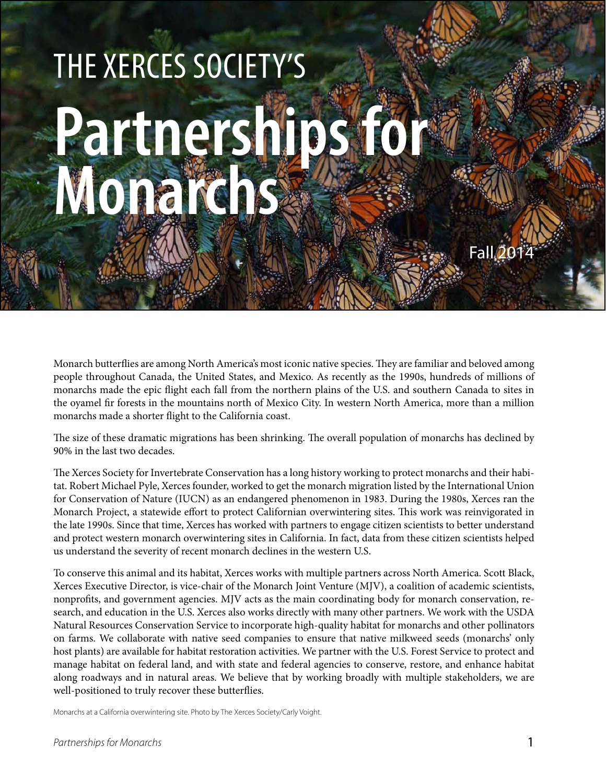# The Xerces Society's **Partnerships for Monarchs**

Monarch butterflies are among North America's most iconic native species. They are familiar and beloved among people throughout Canada, the United States, and Mexico. As recently as the 1990s, hundreds of millions of monarchs made the epic flight each fall from the northern plains of the U.S. and southern Canada to sites in the oyamel fir forests in the mountains north of Mexico City. In western North America, more than a million monarchs made a shorter flight to the California coast.

The size of these dramatic migrations has been shrinking. The overall population of monarchs has declined by 90% in the last two decades.

The Xerces Society for Invertebrate Conservation has a long history working to protect monarchs and their habitat. Robert Michael Pyle, Xerces founder, worked to get the monarch migration listed by the International Union for Conservation of Nature (IUCN) as an endangered phenomenon in 1983. During the 1980s, Xerces ran the Monarch Project, a statewide effort to protect Californian overwintering sites. This work was reinvigorated in the late 1990s. Since that time, Xerces has worked with partners to engage citizen scientists to better understand and protect western monarch overwintering sites in California. In fact, data from these citizen scientists helped us understand the severity of recent monarch declines in the western U.S.

To conserve this animal and its habitat, Xerces works with multiple partners across North America. Scott Black, Xerces Executive Director, is vice-chair of the Monarch Joint Venture (MJV), a coalition of academic scientists, nonprofits, and government agencies. MJV acts as the main coordinating body for monarch conservation, research, and education in the U.S. Xerces also works directly with many other partners. We work with the USDA Natural Resources Conservation Service to incorporate high-quality habitat for monarchs and other pollinators on farms. We collaborate with native seed companies to ensure that native milkweed seeds (monarchs' only host plants) are available for habitat restoration activities. We partner with the U.S. Forest Service to protect and manage habitat on federal land, and with state and federal agencies to conserve, restore, and enhance habitat along roadways and in natural areas. We believe that by working broadly with multiple stakeholders, we are well-positioned to truly recover these butterflies.

Monarchs at a California overwintering site. Photo by The Xerces Society/Carly Voight.

Fall 2014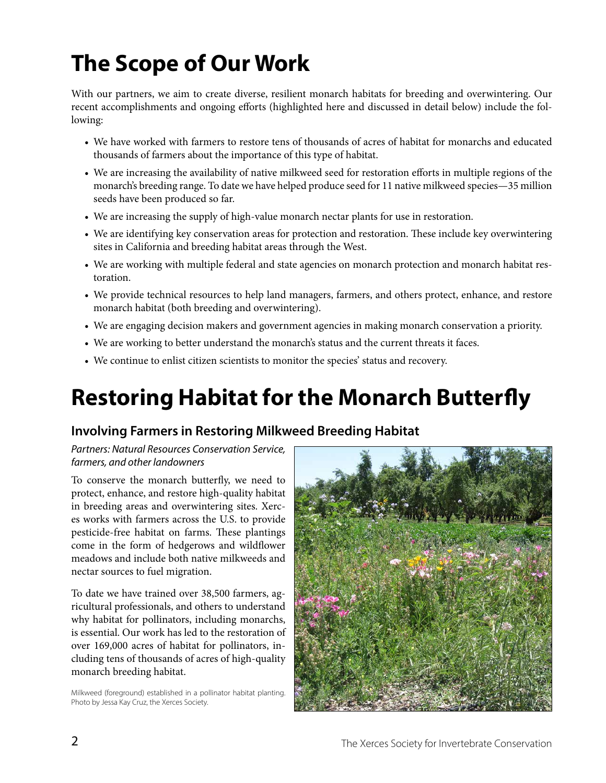## **The Scope of Our Work**

With our partners, we aim to create diverse, resilient monarch habitats for breeding and overwintering. Our recent accomplishments and ongoing efforts (highlighted here and discussed in detail below) include the following:

- We have worked with farmers to restore tens of thousands of acres of habitat for monarchs and educated thousands of farmers about the importance of this type of habitat.
- We are increasing the availability of native milkweed seed for restoration efforts in multiple regions of the monarch's breeding range. To date we have helped produce seed for 11 native milkweed species—35 million seeds have been produced so far.
- We are increasing the supply of high-value monarch nectar plants for use in restoration.
- We are identifying key conservation areas for protection and restoration. These include key overwintering sites in California and breeding habitat areas through the West.
- We are working with multiple federal and state agencies on monarch protection and monarch habitat restoration.
- We provide technical resources to help land managers, farmers, and others protect, enhance, and restore monarch habitat (both breeding and overwintering).
- We are engaging decision makers and government agencies in making monarch conservation a priority.
- We are working to better understand the monarch's status and the current threats it faces.
- We continue to enlist citizen scientists to monitor the species' status and recovery.

### **Restoring Habitat for the Monarch Butterfly**

#### **Involving Farmers in Restoring Milkweed Breeding Habitat**

*Partners: Natural Resources Conservation Service, farmers, and other landowners*

To conserve the monarch butterfly, we need to protect, enhance, and restore high-quality habitat in breeding areas and overwintering sites. Xerces works with farmers across the U.S. to provide pesticide-free habitat on farms. These plantings come in the form of hedgerows and wildflower meadows and include both native milkweeds and nectar sources to fuel migration.

To date we have trained over 38,500 farmers, agricultural professionals, and others to understand why habitat for pollinators, including monarchs, is essential. Our work has led to the restoration of over 169,000 acres of habitat for pollinators, including tens of thousands of acres of high-quality monarch breeding habitat.

Milkweed (foreground) established in a pollinator habitat planting. Photo by Jessa Kay Cruz, the Xerces Society.

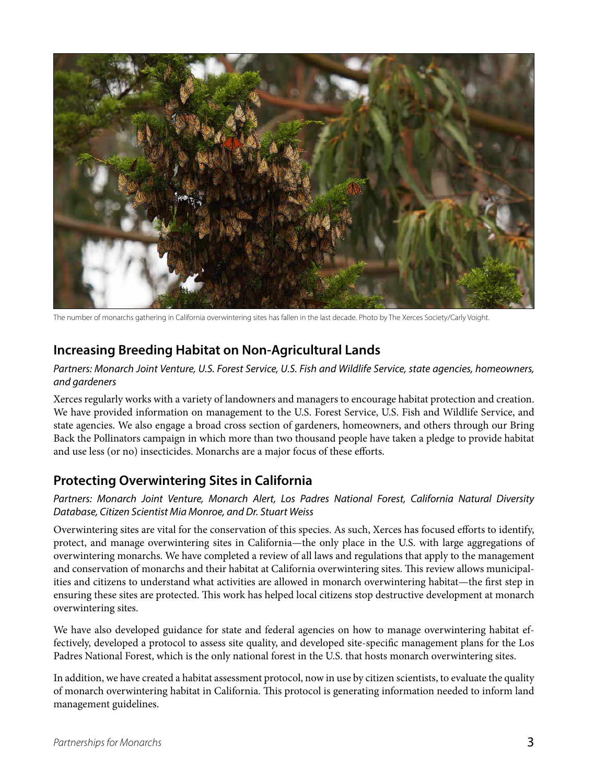

The number of monarchs gathering in California overwintering sites has fallen in the last decade. Photo by The Xerces Society/Carly Voight.

#### **Increasing Breeding Habitat on Non-Agricultural Lands**

*Partners: Monarch Joint Venture, U.S. Forest Service, U.S. Fish and Wildlife Service, state agencies, homeowners, and gardeners*

Xerces regularly works with a variety of landowners and managers to encourage habitat protection and creation. We have provided information on management to the U.S. Forest Service, U.S. Fish and Wildlife Service, and state agencies. We also engage a broad cross section of gardeners, homeowners, and others through our Bring Back the Pollinators campaign in which more than two thousand people have taken a pledge to provide habitat and use less (or no) insecticides. Monarchs are a major focus of these efforts.

#### **Protecting Overwintering Sites in California**

*Partners: Monarch Joint Venture, Monarch Alert, Los Padres National Forest, California Natural Diversity Database, Citizen Scientist Mia Monroe, and Dr. Stuart Weiss*

Overwintering sites are vital for the conservation of this species. As such, Xerces has focused efforts to identify, protect, and manage overwintering sites in California—the only place in the U.S. with large aggregations of overwintering monarchs. We have completed a review of all laws and regulations that apply to the management and conservation of monarchs and their habitat at California overwintering sites. This review allows municipalities and citizens to understand what activities are allowed in monarch overwintering habitat—the first step in ensuring these sites are protected. This work has helped local citizens stop destructive development at monarch overwintering sites.

We have also developed guidance for state and federal agencies on how to manage overwintering habitat effectively, developed a protocol to assess site quality, and developed site-specific management plans for the Los Padres National Forest, which is the only national forest in the U.S. that hosts monarch overwintering sites.

In addition, we have created a habitat assessment protocol, now in use by citizen scientists, to evaluate the quality of monarch overwintering habitat in California. This protocol is generating information needed to inform land management guidelines.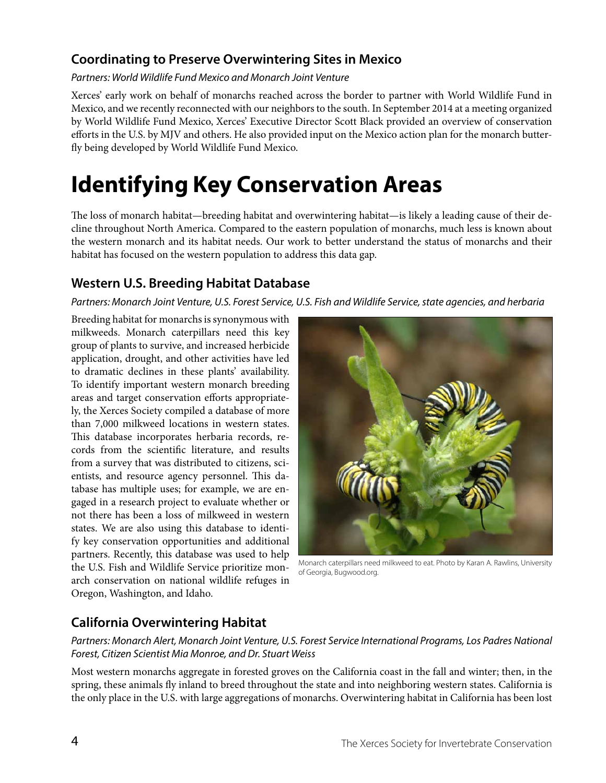#### **Coordinating to Preserve Overwintering Sites in Mexico**

*Partners: World Wildlife Fund Mexico and Monarch Joint Venture*

Xerces' early work on behalf of monarchs reached across the border to partner with World Wildlife Fund in Mexico, and we recently reconnected with our neighbors to the south. In September 2014 at a meeting organized by World Wildlife Fund Mexico, Xerces' Executive Director Scott Black provided an overview of conservation efforts in the U.S. by MJV and others. He also provided input on the Mexico action plan for the monarch butterfly being developed by World Wildlife Fund Mexico.

### **Identifying Key Conservation Areas**

The loss of monarch habitat—breeding habitat and overwintering habitat—is likely a leading cause of their decline throughout North America. Compared to the eastern population of monarchs, much less is known about the western monarch and its habitat needs. Our work to better understand the status of monarchs and their habitat has focused on the western population to address this data gap.

#### **Western U.S. Breeding Habitat Database**

*Partners: Monarch Joint Venture, U.S. Forest Service, U.S. Fish and Wildlife Service, state agencies, and herbaria*

Breeding habitat for monarchs is synonymous with milkweeds. Monarch caterpillars need this key group of plants to survive, and increased herbicide application, drought, and other activities have led to dramatic declines in these plants' availability. To identify important western monarch breeding areas and target conservation efforts appropriately, the Xerces Society compiled a database of more than 7,000 milkweed locations in western states. This database incorporates herbaria records, records from the scientific literature, and results from a survey that was distributed to citizens, scientists, and resource agency personnel. This database has multiple uses; for example, we are engaged in a research project to evaluate whether or not there has been a loss of milkweed in western states. We are also using this database to identify key conservation opportunities and additional partners. Recently, this database was used to help the U.S. Fish and Wildlife Service prioritize monarch conservation on national wildlife refuges in Oregon, Washington, and Idaho.



Monarch caterpillars need milkweed to eat. Photo by Karan A. Rawlins, University of Georgia, Bugwood.org.

#### **California Overwintering Habitat**

Partners: Monarch Alert, Monarch Joint Venture, U.S. Forest Service International Programs, Los Padres National *Forest, Citizen Scientist Mia Monroe, and Dr. Stuart Weiss*

Most western monarchs aggregate in forested groves on the California coast in the fall and winter; then, in the spring, these animals fly inland to breed throughout the state and into neighboring western states. California is the only place in the U.S. with large aggregations of monarchs. Overwintering habitat in California has been lost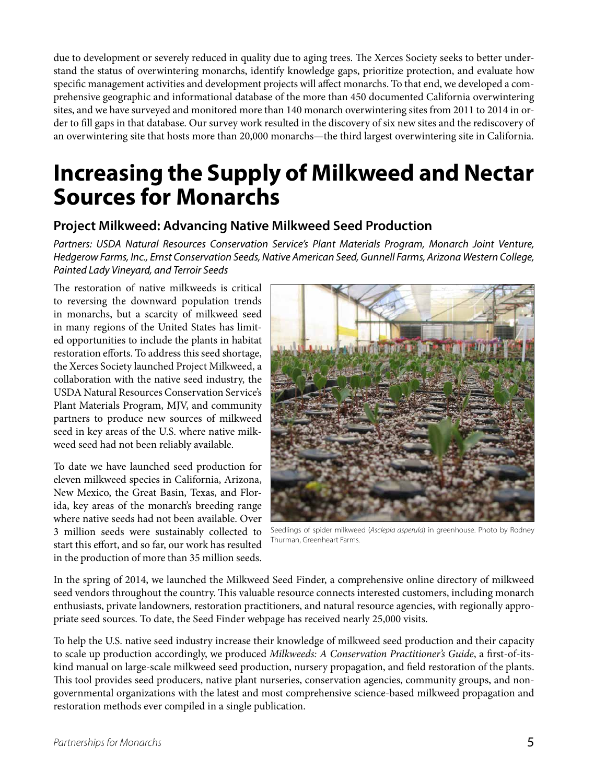due to development or severely reduced in quality due to aging trees. The Xerces Society seeks to better understand the status of overwintering monarchs, identify knowledge gaps, prioritize protection, and evaluate how specific management activities and development projects will affect monarchs. To that end, we developed a comprehensive geographic and informational database of the more than 450 documented California overwintering sites, and we have surveyed and monitored more than 140 monarch overwintering sites from 2011 to 2014 in order to fill gaps in that database. Our survey work resulted in the discovery of six new sites and the rediscovery of an overwintering site that hosts more than 20,000 monarchs—the third largest overwintering site in California.

### **Increasing the Supply of Milkweed and Nectar Sources for Monarchs**

#### **Project Milkweed: Advancing Native Milkweed Seed Production**

*Partners: USDA Natural Resources Conservation Service's Plant Materials Program, Monarch Joint Venture, Hedgerow Farms, Inc., Ernst Conservation Seeds, Native American Seed, Gunnell Farms, Arizona Western College, Painted Lady Vineyard, and Terroir Seeds*

The restoration of native milkweeds is critical to reversing the downward population trends in monarchs, but a scarcity of milkweed seed in many regions of the United States has limited opportunities to include the plants in habitat restoration efforts. To address this seed shortage, the Xerces Society launched Project Milkweed, a collaboration with the native seed industry, the USDA Natural Resources Conservation Service's Plant Materials Program, MJV, and community partners to produce new sources of milkweed seed in key areas of the U.S. where native milkweed seed had not been reliably available.

To date we have launched seed production for eleven milkweed species in California, Arizona, New Mexico, the Great Basin, Texas, and Florida, key areas of the monarch's breeding range where native seeds had not been available. Over 3 million seeds were sustainably collected to start this effort, and so far, our work has resulted in the production of more than 35 million seeds.



Seedlings of spider milkweed (*Asclepia asperula*) in greenhouse. Photo by Rodney Thurman, Greenheart Farms.

In the spring of 2014, we launched the Milkweed Seed Finder, a comprehensive online directory of milkweed seed vendors throughout the country. This valuable resource connects interested customers, including monarch enthusiasts, private landowners, restoration practitioners, and natural resource agencies, with regionally appropriate seed sources. To date, the Seed Finder webpage has received nearly 25,000 visits.

To help the U.S. native seed industry increase their knowledge of milkweed seed production and their capacity to scale up production accordingly, we produced *Milkweeds: A Conservation Practitioner's Guide*, a first-of-itskind manual on large-scale milkweed seed production, nursery propagation, and field restoration of the plants. This tool provides seed producers, native plant nurseries, conservation agencies, community groups, and nongovernmental organizations with the latest and most comprehensive science-based milkweed propagation and restoration methods ever compiled in a single publication.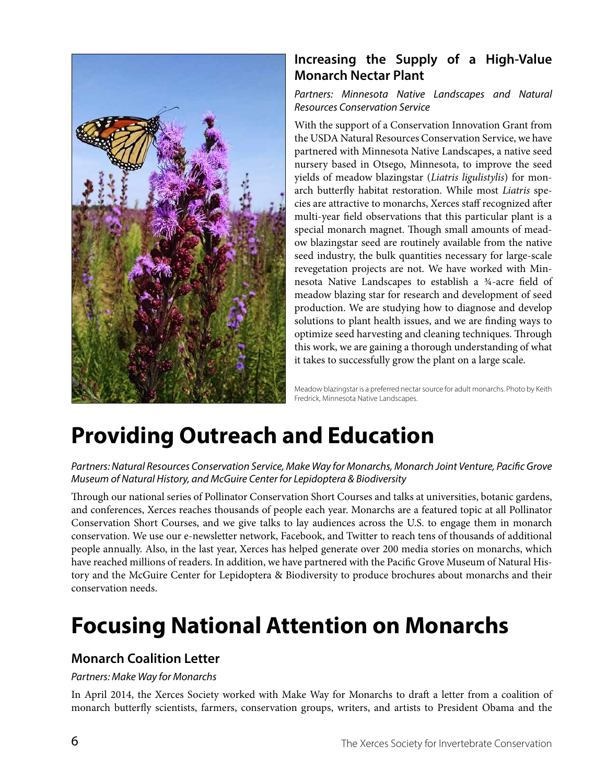

#### **Increasing the Supply of a High-Value Monarch Nectar Plant**

#### *Partners: Minnesota Native Landscapes and Natural Resources Conservation Service*

With the support of a Conservation Innovation Grant from the USDA Natural Resources Conservation Service, we have partnered with Minnesota Native Landscapes, a native seed nursery based in Otsego, Minnesota, to improve the seed yields of meadow blazingstar (*Liatris ligulistylis*) for monarch butterfly habitat restoration. While most *Liatris* species are attractive to monarchs, Xerces staff recognized after multi-year field observations that this particular plant is a special monarch magnet. Though small amounts of meadow blazingstar seed are routinely available from the native seed industry, the bulk quantities necessary for large-scale revegetation projects are not. We have worked with Minnesota Native Landscapes to establish a ¾-acre field of meadow blazing star for research and development of seed production. We are studying how to diagnose and develop solutions to plant health issues, and we are finding ways to optimize seed harvesting and cleaning techniques. Through this work, we are gaining a thorough understanding of what it takes to successfully grow the plant on a large scale.

Meadow blazingstar is a preferred nectar source for adult monarchs. Photo by Keith Fredrick, Minnesota Native Landscapes.

### **Providing Outreach and Education**

*Partners: Natural Resources Conservation Service, Make Way for Monarchs, Monarch Joint Venture, Pacific Grove Museum of Natural History, and McGuire Center for Lepidoptera & Biodiversity*

Through our national series of Pollinator Conservation Short Courses and talks at universities, botanic gardens, and conferences, Xerces reaches thousands of people each year. Monarchs are a featured topic at all Pollinator Conservation Short Courses, and we give talks to lay audiences across the U.S. to engage them in monarch conservation. We use our e-newsletter network, Facebook, and Twitter to reach tens of thousands of additional people annually. Also, in the last year, Xerces has helped generate over 200 media stories on monarchs, which have reached millions of readers. In addition, we have partnered with the Pacific Grove Museum of Natural History and the McGuire Center for Lepidoptera & Biodiversity to produce brochures about monarchs and their conservation needs.

### **Focusing National Attention on Monarchs**

#### **Monarch Coalition Letter**

#### *Partners: Make Way for Monarchs*

In April 2014, the Xerces Society worked with Make Way for Monarchs to draft a letter from a coalition of monarch butterfly scientists, farmers, conservation groups, writers, and artists to President Obama and the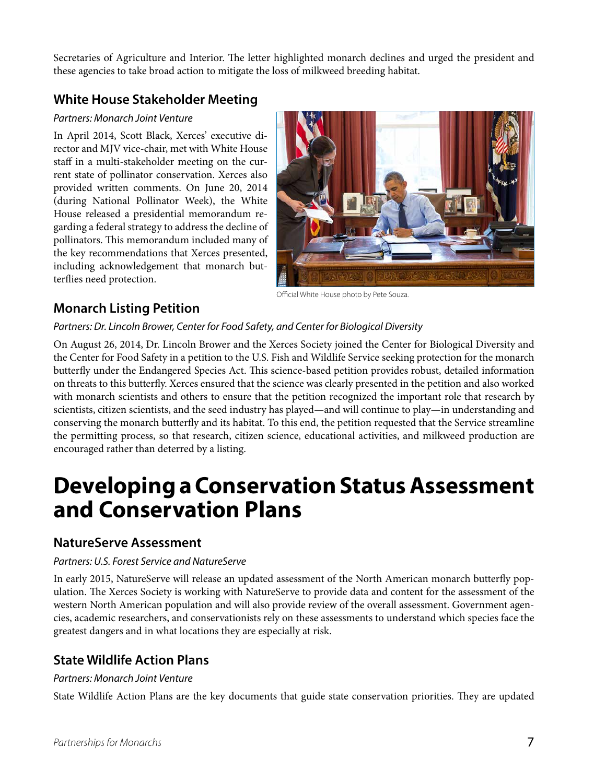Secretaries of Agriculture and Interior. The letter highlighted monarch declines and urged the president and these agencies to take broad action to mitigate the loss of milkweed breeding habitat.

#### **White House Stakeholder Meeting**

#### *Partners: Monarch Joint Venture*

In April 2014, Scott Black, Xerces' executive director and MJV vice-chair, met with White House staff in a multi-stakeholder meeting on the current state of pollinator conservation. Xerces also provided written comments. On June 20, 2014 (during National Pollinator Week), the White House released a presidential memorandum regarding a federal strategy to address the decline of pollinators. This memorandum included many of the key recommendations that Xerces presented, including acknowledgement that monarch butterflies need protection.



Official White House photo by Pete Souza.

#### **Monarch Listing Petition**

#### *Partners: Dr. Lincoln Brower, Center for Food Safety, and Center for Biological Diversity*

On August 26, 2014, Dr. Lincoln Brower and the Xerces Society joined the Center for Biological Diversity and the Center for Food Safety in a petition to the U.S. Fish and Wildlife Service seeking protection for the monarch butterfly under the Endangered Species Act. This science-based petition provides robust, detailed information on threats to this butterfly. Xerces ensured that the science was clearly presented in the petition and also worked with monarch scientists and others to ensure that the petition recognized the important role that research by scientists, citizen scientists, and the seed industry has played—and will continue to play—in understanding and conserving the monarch butterfly and its habitat. To this end, the petition requested that the Service streamline the permitting process, so that research, citizen science, educational activities, and milkweed production are encouraged rather than deterred by a listing.

### **Developing a Conservation Status Assessment and Conservation Plans**

#### **NatureServe Assessment**

#### *Partners: U.S. Forest Service and NatureServe*

In early 2015, NatureServe will release an updated assessment of the North American monarch butterfly population. The Xerces Society is working with NatureServe to provide data and content for the assessment of the western North American population and will also provide review of the overall assessment. Government agencies, academic researchers, and conservationists rely on these assessments to understand which species face the greatest dangers and in what locations they are especially at risk.

#### **State Wildlife Action Plans**

#### *Partners: Monarch Joint Venture*

State Wildlife Action Plans are the key documents that guide state conservation priorities. They are updated